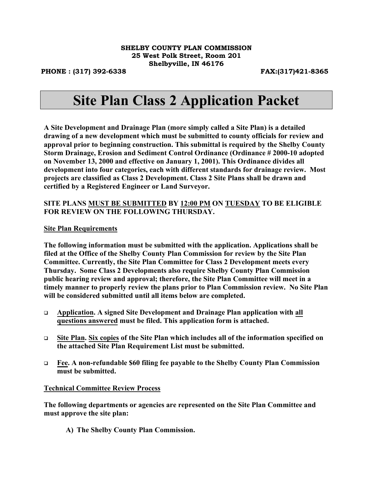#### **SHELBY COUNTY PLAN COMMISSION 25 West Polk Street, Room 201 Shelbyville, IN 46176**

**PHONE : (317) 392-6338 FAX:(317)421-8365**

# **Site Plan Class 2 Application Packet**

**A Site Development and Drainage Plan (more simply called a Site Plan) is a detailed drawing of a new development which must be submitted to county officials for review and approval prior to beginning construction. This submittal is required by the Shelby County Storm Drainage, Erosion and Sediment Control Ordinance (Ordinance # 2000-10 adopted on November 13, 2000 and effective on January 1, 2001). This Ordinance divides all development into four categories, each with different standards for drainage review. Most projects are classified as Class 2 Development. Class 2 Site Plans shall be drawn and certified by a Registered Engineer or Land Surveyor.**

### **SITE PLANS MUST BE SUBMITTED BY 12:00 PM ON TUESDAY TO BE ELIGIBLE FOR REVIEW ON THE FOLLOWING THURSDAY.**

#### **Site Plan Requirements**

**The following information must be submitted with the application. Applications shall be filed at the Office of the Shelby County Plan Commission for review by the Site Plan Committee. Currently, the Site Plan Committee for Class 2 Development meets every Thursday. Some Class 2 Developments also require Shelby County Plan Commission public hearing review and approval; therefore, the Site Plan Committee will meet in a timely manner to properly review the plans prior to Plan Commission review. No Site Plan will be considered submitted until all items below are completed.**

- **Application. A signed Site Development and Drainage Plan application with all questions answered must be filed. This application form is attached.**
- **Site Plan. Six copies of the Site Plan which includes all of the information specified on the attached Site Plan Requirement List must be submitted.**
- **Fee. A non-refundable \$60 filing fee payable to the Shelby County Plan Commission must be submitted.**

#### **Technical Committee Review Process**

**The following departments or agencies are represented on the Site Plan Committee and must approve the site plan:**

**A) The Shelby County Plan Commission.**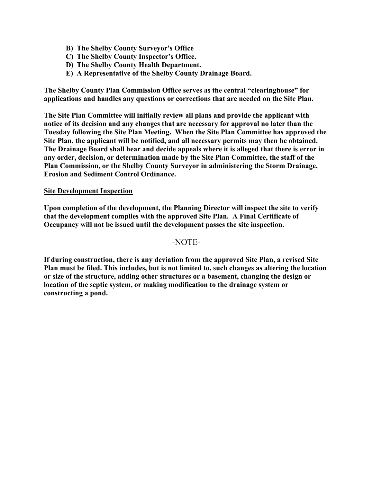- **B) The Shelby County Surveyor's Office**
- **C) The Shelby County Inspector's Office.**
- **D) The Shelby County Health Department.**
- **E) A Representative of the Shelby County Drainage Board.**

**The Shelby County Plan Commission Office serves as the central "clearinghouse" for applications and handles any questions or corrections that are needed on the Site Plan.** 

**The Site Plan Committee will initially review all plans and provide the applicant with notice of its decision and any changes that are necessary for approval no later than the Tuesday following the Site Plan Meeting. When the Site Plan Committee has approved the Site Plan, the applicant will be notified, and all necessary permits may then be obtained. The Drainage Board shall hear and decide appeals where it is alleged that there is error in any order, decision, or determination made by the Site Plan Committee, the staff of the Plan Commission, or the Shelby County Surveyor in administering the Storm Drainage, Erosion and Sediment Control Ordinance.**

#### **Site Development Inspection**

**Upon completion of the development, the Planning Director will inspect the site to verify that the development complies with the approved Site Plan. A Final Certificate of Occupancy will not be issued until the development passes the site inspection.**

#### -NOTE-

**If during construction, there is any deviation from the approved Site Plan, a revised Site Plan must be filed. This includes, but is not limited to, such changes as altering the location or size of the structure, adding other structures or a basement, changing the design or location of the septic system, or making modification to the drainage system or constructing a pond.**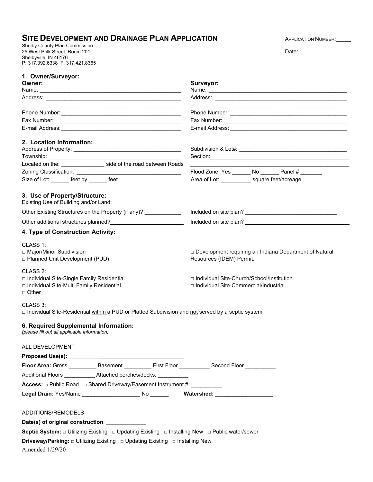## SITE DEVELOPMENT AND DRAINAGE PLAN APPLICATION **APPLICATION APPLICATION NUMBER:**

Shelby County Plan Commission 25 West Polk Street, Room 201 Date: Shelbyville, IN 46176 P: 317.392.6338 F: 317.421.8365

| te: |  |  |
|-----|--|--|
|     |  |  |

| 1. Owner/Surveyor:<br>Owner:                                                                                          | Surveyor:                                                                              |  |  |
|-----------------------------------------------------------------------------------------------------------------------|----------------------------------------------------------------------------------------|--|--|
|                                                                                                                       |                                                                                        |  |  |
|                                                                                                                       |                                                                                        |  |  |
| <u> 2000 - Jan James James James James James James James James James James James James James James James James Ja</u> |                                                                                        |  |  |
|                                                                                                                       |                                                                                        |  |  |
|                                                                                                                       |                                                                                        |  |  |
| 2. Location Information:                                                                                              |                                                                                        |  |  |
|                                                                                                                       | Section: <u>Contract Communication</u>                                                 |  |  |
| Located on the: ________________ side of the road between Roads                                                       |                                                                                        |  |  |
|                                                                                                                       | Flood Zone: Yes _______ No _______ Panel # ______                                      |  |  |
| Size of Lot: ______ feet by _____ feet                                                                                | Area of Lot: ____________ square feet/acreage                                          |  |  |
| 3. Use of Property/Structure:                                                                                         |                                                                                        |  |  |
| Other Existing Structures on the Property (if any)? ____________                                                      |                                                                                        |  |  |
| Other additional structures planned?<br><u> </u>                                                                      |                                                                                        |  |  |
| 4. Type of Construction Activity:                                                                                     |                                                                                        |  |  |
| CLASS 1:<br>□ Major/Minor Subdivision<br>□ Planned Unit Development (PUD)                                             | □ Development requiring an Indiana Department of Natural<br>Resources (IDEM) Permit.   |  |  |
| CLASS 2:<br>□ Individual Site-Single Family Residential<br>□ Individual Site-Multi Family Residential<br>□ Other      | □ Individual Site-Church/School/Institution<br>□ Individual Site-Commercial/Industrial |  |  |
| CLASS 3:<br>□ Individual Site-Residential within a PUD or Platted Subdivision and not served by a septic system       |                                                                                        |  |  |
| 6. Required Supplemental Information:<br>(please fill out all applicable information)                                 |                                                                                        |  |  |
| ALL DEVELOPMENT                                                                                                       |                                                                                        |  |  |
|                                                                                                                       |                                                                                        |  |  |
| Floor Area: Gross ___________ Basement ___________ First Floor ___________ Second Floor ___________                   |                                                                                        |  |  |
| Additional Floors ___________ Attached porches/decks: __________                                                      |                                                                                        |  |  |
| Access: □ Public Road □ Shared Driveway/Easement Instrument #: __________                                             |                                                                                        |  |  |
| Legal Drain: Yes/Name ____________________No _______  Watershed: _______________                                      |                                                                                        |  |  |
|                                                                                                                       |                                                                                        |  |  |
| ADDITIONS/REMODELS                                                                                                    |                                                                                        |  |  |
| Date(s) of original construction: _____________                                                                       |                                                                                        |  |  |
| Septic System: □ Utilizing Existing □ Updating Existing □ Installing New □ Public water/sewer                         |                                                                                        |  |  |
| <b>Driveway/Parking:</b> □ Utilizing Existing □ Updating Existing □ Installing New<br>Amended 1/29/20                 |                                                                                        |  |  |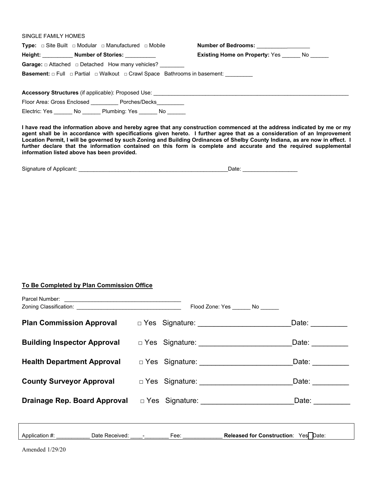#### SINGLE FAMILY HOMES

| <b>Type:</b> $\Box$ Site Built $\Box$ Modular $\Box$ Manufactured $\Box$ Mobile  | Number of Bedrooms: ________________             |
|----------------------------------------------------------------------------------|--------------------------------------------------|
| Height: Number of Stories:                                                       | Existing Home on Property: Yes _______ No ______ |
| <b>Garage:</b> $\Box$ Attached $\Box$ Detached How many vehicles?                |                                                  |
| <b>Basement:</b> □ Full □ Partial □ Walkout □ Crawl Space Bathrooms in basement: |                                                  |
| <b>Accessory Structures</b> (if applicable): Proposed Use:                       |                                                  |
| Floor Area: Gross Enclosed<br>Porches/Decks                                      |                                                  |

Electric: Yes \_\_\_\_\_\_ No \_\_\_\_\_\_ Plumbing: Yes \_\_\_\_\_\_ No \_\_\_\_\_\_

**I have read the information above and hereby agree that any construction commenced at the address indicated by me or my agent shall be in accordance with specifications given hereto. I further agree that as a consideration of an Improvement Location Permit, I will be governed by such Zoning and Building Ordinances of Shelby County Indiana, as are now in effect. I further declare that the information contained on this form is complete and accurate and the required supplemental information listed above has been provided.**

| Signature of Applicant: | Date |  |
|-------------------------|------|--|
|                         |      |  |

#### **To Be Completed by Plan Commission Office**

|                                                                                                                                                                                                                                |  | Flood Zone: Yes ________ No _______ |
|--------------------------------------------------------------------------------------------------------------------------------------------------------------------------------------------------------------------------------|--|-------------------------------------|
| <b>Plan Commission Approval</b>                                                                                                                                                                                                |  | Date: <b>Date</b>                   |
| Building Inspector Approval and Yes Signature: 2008. [1] Multimagnetic Press, 2016. [1] Multimagnetic Press, 2016. [1] Multimagnetic Press, 2016. [1] Multimagnetic Press, 2016. [1] Multimagnetic Press, 2016. [1] Multimagne |  | Date: $\qquad \qquad \qquad$        |
| Health Department Approval and Yes Signature: 2008. Mealth Department Approval and Yes Signature:                                                                                                                              |  | Date: $\qquad \qquad$               |
|                                                                                                                                                                                                                                |  | Date: $\qquad \qquad \qquad$        |
|                                                                                                                                                                                                                                |  |                                     |
|                                                                                                                                                                                                                                |  |                                     |
|                                                                                                                                                                                                                                |  |                                     |

Amended 1/29/20